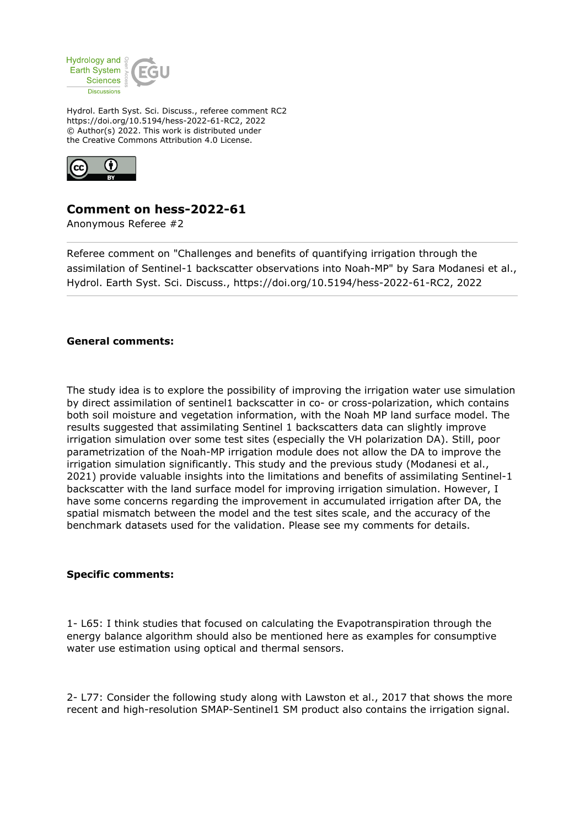

Hydrol. Earth Syst. Sci. Discuss., referee comment RC2 https://doi.org/10.5194/hess-2022-61-RC2, 2022 © Author(s) 2022. This work is distributed under the Creative Commons Attribution 4.0 License.



## **Comment on hess-2022-61**

Anonymous Referee #2

Referee comment on "Challenges and benefits of quantifying irrigation through the assimilation of Sentinel-1 backscatter observations into Noah-MP" by Sara Modanesi et al., Hydrol. Earth Syst. Sci. Discuss., https://doi.org/10.5194/hess-2022-61-RC2, 2022

## **General comments:**

The study idea is to explore the possibility of improving the irrigation water use simulation by direct assimilation of sentinel1 backscatter in co- or cross-polarization, which contains both soil moisture and vegetation information, with the Noah MP land surface model. The results suggested that assimilating Sentinel 1 backscatters data can slightly improve irrigation simulation over some test sites (especially the VH polarization DA). Still, poor parametrization of the Noah-MP irrigation module does not allow the DA to improve the irrigation simulation significantly. This study and the previous study (Modanesi et al., 2021) provide valuable insights into the limitations and benefits of assimilating Sentinel-1 backscatter with the land surface model for improving irrigation simulation. However, I have some concerns regarding the improvement in accumulated irrigation after DA, the spatial mismatch between the model and the test sites scale, and the accuracy of the benchmark datasets used for the validation. Please see my comments for details.

## **Specific comments:**

1- L65: I think studies that focused on calculating the Evapotranspiration through the energy balance algorithm should also be mentioned here as examples for consumptive water use estimation using optical and thermal sensors.

2- L77: Consider the following study along with Lawston et al., 2017 that shows the more recent and high-resolution SMAP-Sentinel1 SM product also contains the irrigation signal.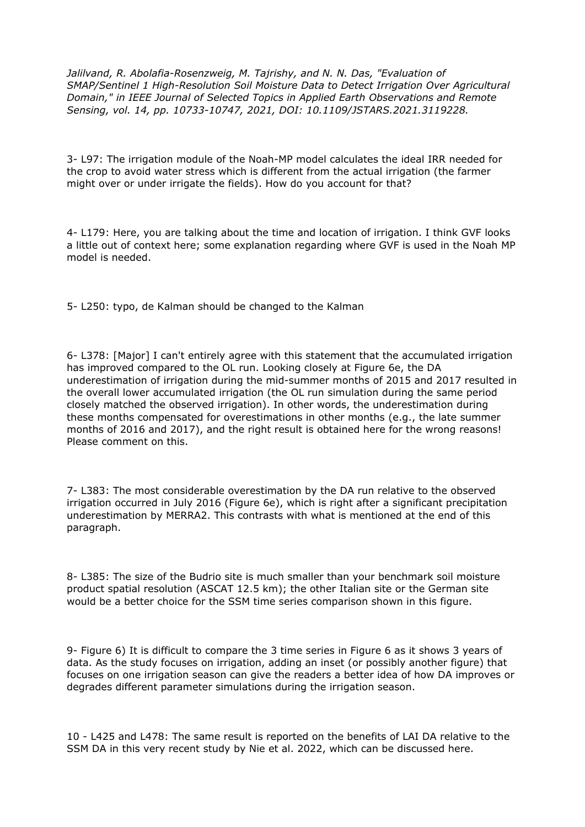*Jalilvand, R. Abolafia-Rosenzweig, M. Tajrishy, and N. N. Das, "Evaluation of SMAP/Sentinel 1 High-Resolution Soil Moisture Data to Detect Irrigation Over Agricultural Domain," in IEEE Journal of Selected Topics in Applied Earth Observations and Remote Sensing, vol. 14, pp. 10733-10747, 2021, DOI: 10.1109/JSTARS.2021.3119228.*

3- L97: The irrigation module of the Noah-MP model calculates the ideal IRR needed for the crop to avoid water stress which is different from the actual irrigation (the farmer might over or under irrigate the fields). How do you account for that?

4- L179: Here, you are talking about the time and location of irrigation. I think GVF looks a little out of context here; some explanation regarding where GVF is used in the Noah MP model is needed.

5- L250: typo, de Kalman should be changed to the Kalman

6- L378: [Major] I can't entirely agree with this statement that the accumulated irrigation has improved compared to the OL run. Looking closely at Figure 6e, the DA underestimation of irrigation during the mid-summer months of 2015 and 2017 resulted in the overall lower accumulated irrigation (the OL run simulation during the same period closely matched the observed irrigation). In other words, the underestimation during these months compensated for overestimations in other months (e.g., the late summer months of 2016 and 2017), and the right result is obtained here for the wrong reasons! Please comment on this.

7- L383: The most considerable overestimation by the DA run relative to the observed irrigation occurred in July 2016 (Figure 6e), which is right after a significant precipitation underestimation by MERRA2. This contrasts with what is mentioned at the end of this paragraph.

8- L385: The size of the Budrio site is much smaller than your benchmark soil moisture product spatial resolution (ASCAT 12.5 km); the other Italian site or the German site would be a better choice for the SSM time series comparison shown in this figure.

9- Figure 6) It is difficult to compare the 3 time series in Figure 6 as it shows 3 years of data. As the study focuses on irrigation, adding an inset (or possibly another figure) that focuses on one irrigation season can give the readers a better idea of how DA improves or degrades different parameter simulations during the irrigation season.

10 - L425 and L478: The same result is reported on the benefits of LAI DA relative to the SSM DA in this very recent study by Nie et al. 2022, which can be discussed here.